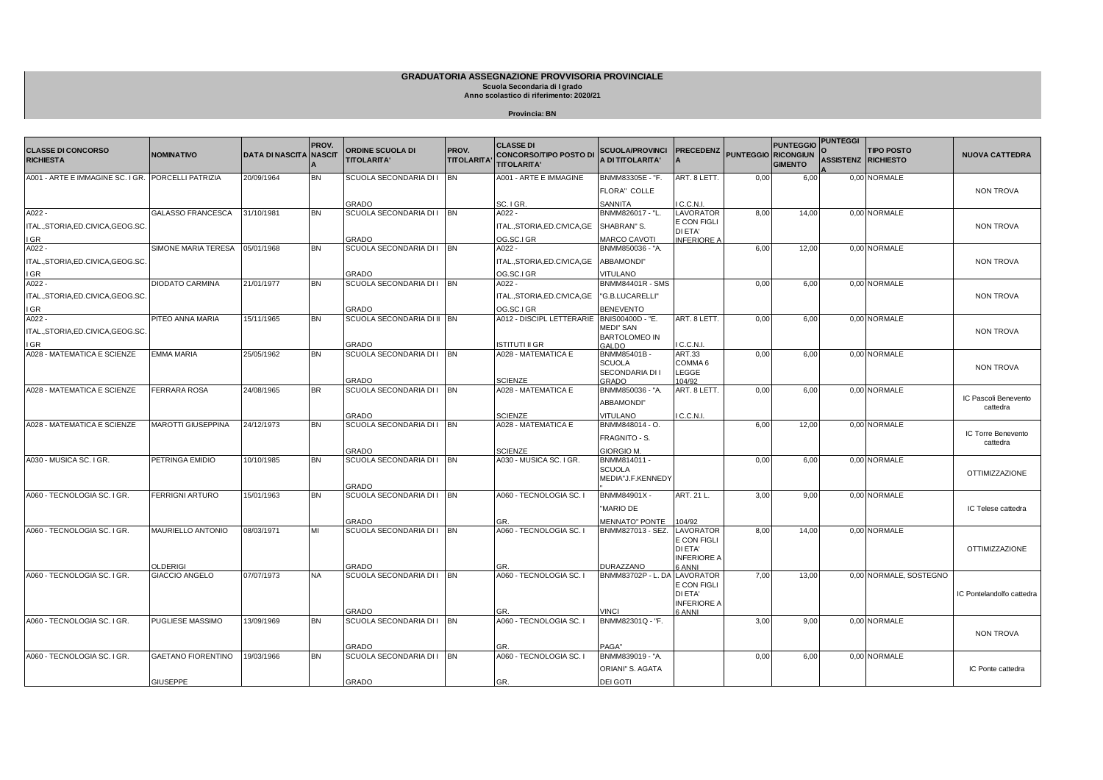## **GRADUATORIA ASSEGNAZIONE PROVVISORIA PROVINCIALE**

**Scuola Secondaria di I grado Anno scolastico di riferimento: 2020/21**

**Provincia: BN**

| <b>CLASSE DI CONCORSO</b>          | <b>NOMINATIVO</b>         | <b>DATA DI NASCITA</b> | PROV.<br><b>NASCIT</b> | <b>ORDINE SCUOLA DI</b>            | PROV.             | <b>CLASSE DI</b><br><b>CONCORSO/TIPO POSTO DI</b> | SCUOLA/PROVINCI   PRECEDENZ             |                                     |      | <b>PUNTEGGIO</b><br><b>PUNTEGGIO RICONGIUN</b> | <b>PUNTEGGI</b>     | <b>TIPO POSTO</b>      | <b>NUOVA CATTEDRA</b>     |
|------------------------------------|---------------------------|------------------------|------------------------|------------------------------------|-------------------|---------------------------------------------------|-----------------------------------------|-------------------------------------|------|------------------------------------------------|---------------------|------------------------|---------------------------|
| <b>RICHIESTA</b>                   |                           |                        |                        | <b>TITOLARITA'</b>                 | <b>TITOLARITA</b> | <b>TITOLARITA'</b>                                | A DI TITOLARITA'                        |                                     |      | <b>GIMENTO</b>                                 | ASSISTENZ RICHIESTO |                        |                           |
| A001 - ARTE E IMMAGINE SC. I GR.   | PORCELLI PATRIZIA         | 20/09/1964             | <b>BN</b>              | SCUOLA SECONDARIA DI I BN          |                   | A001 - ARTE E IMMAGINE                            | BNMM83305E - "F.                        | ART. 8 LETT.                        | 0,00 | 6,00                                           |                     | 0.00 NORMALE           |                           |
|                                    |                           |                        |                        |                                    |                   |                                                   | FLORA" COLLE                            |                                     |      |                                                |                     |                        | <b>NON TROVA</b>          |
|                                    | <b>GALASSO FRANCESCA</b>  | 31/10/1981             | <b>BN</b>              | GRADO<br>SCUOLA SECONDARIA DI IBN  |                   | SC. I GR.<br>$A022 -$                             | SANNITA<br>BNMM826017 - "L.             | I C.C.N.I.<br><b>LAVORATOR</b>      |      | 14.00                                          |                     | 0.00 NORMALE           |                           |
| A022 -                             |                           |                        |                        |                                    |                   |                                                   |                                         | E CON FIGLI                         | 8,00 |                                                |                     |                        |                           |
| ITAL.,STORIA,ED.CIVICA,GEOG.SC     |                           |                        |                        |                                    |                   | ITAL., STORIA, ED. CIVICA, GE                     | SHABRAN" S.                             | DI ETA'                             |      |                                                |                     |                        | <b>NON TROVA</b>          |
| I GR<br>A022 -                     | SIMONE MARIA TERESA       | 05/01/1968             | <b>BN</b>              | GRADO<br>SCUOLA SECONDARIA DI I BN |                   | OG.SC.I GR<br>A022 -                              | <b>MARCO CAVOTI</b><br>BNMM850036 - "A. | <b>INFERIORE A</b>                  | 6,00 | 12,00                                          |                     | 0,00 NORMALE           |                           |
|                                    |                           |                        |                        |                                    |                   |                                                   |                                         |                                     |      |                                                |                     |                        |                           |
| ITAL.,STORIA,ED.CIVICA,GEOG.SC.    |                           |                        |                        |                                    |                   | ITAL., STORIA, ED. CIVICA, GE                     | ABBAMONDI"                              |                                     |      |                                                |                     |                        | <b>NON TROVA</b>          |
| I GR<br>A022 -                     | DIODATO CARMINA           | 21/01/1977             | <b>BN</b>              | GRADO<br>SCUOLA SECONDARIA DI I BN |                   | OG.SC.I GR<br>A022 -                              | VITULANO<br><b>BNMM84401R - SMS</b>     |                                     |      |                                                |                     | 0,00 NORMALE           |                           |
|                                    |                           |                        |                        |                                    |                   |                                                   |                                         |                                     | 0,00 | 6,00                                           |                     |                        |                           |
| ITAL., STORIA, ED.CIVICA, GEOG.SC. |                           |                        |                        |                                    |                   | ITAL., STORIA, ED. CIVICA, GE                     | "G.B.LUCARELLI"                         |                                     |      |                                                |                     |                        | <b>NON TROVA</b>          |
| I GR                               |                           |                        | <b>BN</b>              | GRADO                              |                   | OG.SC.I GR                                        | <b>BENEVENTO</b>                        |                                     |      |                                                |                     |                        |                           |
| A022-                              | PITEO ANNA MARIA          | 15/11/1965             |                        | SCUOLA SECONDARIA DI II BN         |                   | A012 - DISCIPL LETTERARIE                         | BNIS00400D - "E.<br>MEDI" SAN           | ART. 8 LETT.                        | 0,00 | 6,00                                           |                     | 0,00 NORMALE           |                           |
| ITAL.,STORIA,ED.CIVICA,GEOG.SC     |                           |                        |                        |                                    |                   |                                                   | <b>BARTOLOMEO IN</b>                    |                                     |      |                                                |                     |                        | <b>NON TROVA</b>          |
| I GR                               | EMMA MARIA                |                        | <b>BN</b>              | GRADO                              |                   | <b>ISTITUTI II GR</b><br>A028 - MATEMATICA E      | <b>GALDO</b>                            | IC.C.N.L                            |      |                                                |                     |                        |                           |
| A028 - MATEMATICA E SCIENZE        |                           | 25/05/1962             |                        | SCUOLA SECONDARIA DI I BN          |                   |                                                   | BNMM85401B-<br><b>SCUOLA</b>            | <b>ART.33</b><br>COMMA <sub>6</sub> | 0,00 | 6,00                                           |                     | 0,00 NORMALE           |                           |
|                                    |                           |                        |                        |                                    |                   |                                                   | SECONDARIA DI I                         | LEGGE                               |      |                                                |                     |                        | <b>NON TROVA</b>          |
|                                    |                           |                        |                        | <b>GRADO</b>                       |                   | <b>SCIENZE</b>                                    | GRADO                                   | 104/92                              |      |                                                |                     |                        |                           |
| A028 - MATEMATICA E SCIENZE        | <b>FERRARA ROSA</b>       | 24/08/1965             | <b>BR</b>              | SCUOLA SECONDARIA DI I BN          |                   | A028 - MATEMATICA E                               | BNMM850036 - "A.                        | ART. 8 LETT.                        | 0,00 | 6,00                                           |                     | 0.00 NORMALE           | IC Pascoli Benevento      |
|                                    |                           |                        |                        |                                    |                   |                                                   | "ABBAMONDI                              |                                     |      |                                                |                     |                        | cattedra                  |
|                                    |                           |                        |                        | GRADO                              |                   | <b>SCIENZE</b>                                    | <b>/ITULANO</b>                         | C.C.N.L                             |      |                                                |                     |                        |                           |
| A028 - MATEMATICA E SCIENZE        | <b>MAROTTI GIUSEPPINA</b> | 24/12/1973             | <b>BN</b>              | SCUOLA SECONDARIA DI I BN          |                   | A028 - MATEMATICA E                               | BNMM848014 - O.                         |                                     | 6,00 | 12,00                                          |                     | 0.00 NORMALE           | IC Torre Benevento        |
|                                    |                           |                        |                        |                                    |                   |                                                   | FRAGNITO - S.                           |                                     |      |                                                |                     |                        | cattedra                  |
|                                    |                           |                        |                        | GRADO                              |                   | <b>SCIENZE</b>                                    | GIORGIO M.                              |                                     |      |                                                |                     |                        |                           |
| A030 - MUSICA SC. I GR.            | PETRINGA EMIDIO           | 10/10/1985             | <b>BN</b>              | SCUOLA SECONDARIA DI I BN          |                   | A030 - MUSICA SC. I GR.                           | BNMM814011 -<br><b>SCUOLA</b>           |                                     | 0,00 | 6,00                                           |                     | 0.00 NORMALE           |                           |
|                                    |                           |                        |                        |                                    |                   |                                                   | MEDIA"J.F.KENNEDY                       |                                     |      |                                                |                     |                        | <b>OTTIMIZZAZIONE</b>     |
|                                    |                           |                        |                        | GRADO                              |                   |                                                   |                                         |                                     |      |                                                |                     |                        |                           |
| A060 - TECNOLOGIA SC. I GR.        | <b>FERRIGNI ARTURO</b>    | 15/01/1963             | <b>BN</b>              | SCUOLA SECONDARIA DI I BN          |                   | A060 - TECNOLOGIA SC. I                           | BNMM84901X -                            | ART. 21 L.                          | 3,00 | 9,00                                           |                     | 0.00 NORMALE           |                           |
|                                    |                           |                        |                        |                                    |                   |                                                   | 'MARIO DE                               |                                     |      |                                                |                     |                        | IC Telese cattedra        |
|                                    |                           |                        |                        | GRADO                              |                   |                                                   | <b>MENNATO" PONTE</b>                   | 104/92                              |      |                                                |                     |                        |                           |
| A060 - TECNOLOGIA SC. I GR.        | MAURIELLO ANTONIO         | 08/03/1971             | MI                     | SCUOLA SECONDARIA DI I BN          |                   | A060 - TECNOLOGIA SC. I                           | BNMM827013 - SEZ.                       | LAVORATOR                           | 8,00 | 14,00                                          |                     | 0,00 NORMALE           |                           |
|                                    |                           |                        |                        |                                    |                   |                                                   |                                         | E CON FIGLI<br>DI ETA'              |      |                                                |                     |                        | <b>OTTIMIZZAZIONE</b>     |
|                                    |                           |                        |                        |                                    |                   |                                                   |                                         | <b>INFERIORE A</b>                  |      |                                                |                     |                        |                           |
|                                    | OLDERIGI                  |                        |                        | <b>GRADO</b>                       |                   | GR                                                | DURAZZANO                               | <b>SANNI</b>                        |      |                                                |                     |                        |                           |
| A060 - TECNOLOGIA SC. I GR.        | GIACCIO ANGELO            | 07/07/1973             | <b>NA</b>              | SCUOLA SECONDARIA DI I BN          |                   | A060 - TECNOLOGIA SC. I                           | BNMM83702P - L. D/                      | LAVORATOR<br>E CON FIGLI            | 7,00 | 13,00                                          |                     | 0.00 NORMALE, SOSTEGNO |                           |
|                                    |                           |                        |                        |                                    |                   |                                                   |                                         | DI ETA'                             |      |                                                |                     |                        | IC Pontelandolfo cattedra |
|                                    |                           |                        |                        |                                    |                   |                                                   |                                         | <b>INFERIORE A</b>                  |      |                                                |                     |                        |                           |
| A060 - TECNOLOGIA SC. I GR.        | PUGLIESE MASSIMO          | 13/09/1969             | <b>BN</b>              | GRADO<br>SCUOLA SECONDARIA DI I BN |                   | A060 - TECNOLOGIA SC. I                           | VINCI<br>BNMM82301Q - "F.               | 6 ANNI                              | 3,00 | 9,00                                           |                     | 0.00 NORMALE           |                           |
|                                    |                           |                        |                        |                                    |                   |                                                   |                                         |                                     |      |                                                |                     |                        |                           |
|                                    |                           |                        |                        |                                    |                   |                                                   |                                         |                                     |      |                                                |                     |                        | <b>NON TROVA</b>          |
| A060 - TECNOLOGIA SC. I GR.        | <b>GAETANO FIORENTINO</b> | 19/03/1966             | <b>BN</b>              | GRADO<br>SCUOLA SECONDARIA DI IBN  |                   | A060 - TECNOLOGIA SC. I                           | PAGA"<br>BNMM839019 - "A.               |                                     | 0,00 | 6.00                                           |                     | 0.00 NORMALE           |                           |
|                                    |                           |                        |                        |                                    |                   |                                                   |                                         |                                     |      |                                                |                     |                        |                           |
|                                    |                           |                        |                        |                                    |                   |                                                   | ORIANI" S. AGATA                        |                                     |      |                                                |                     |                        | IC Ponte cattedra         |
|                                    | <b>GIUSEPPE</b>           |                        |                        | <b>GRADO</b>                       |                   | GR.                                               | DEI GOTI                                |                                     |      |                                                |                     |                        |                           |